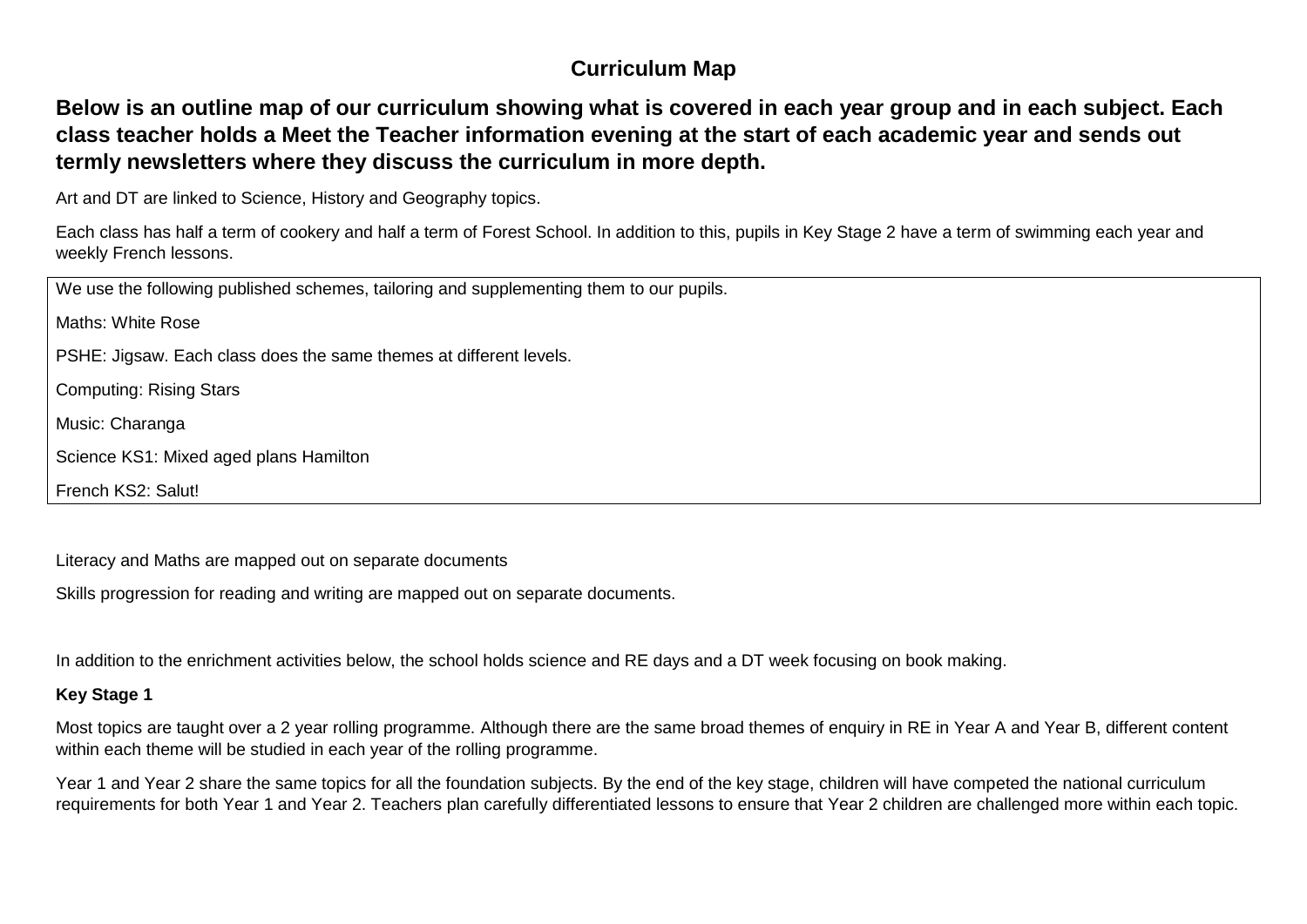### **Curriculum Map**

### **Below is an outline map of our curriculum showing what is covered in each year group and in each subject. Each class teacher holds a Meet the Teacher information evening at the start of each academic year and sends out termly newsletters where they discuss the curriculum in more depth.**

Art and DT are linked to Science, History and Geography topics.

Each class has half a term of cookery and half a term of Forest School. In addition to this, pupils in Key Stage 2 have a term of swimming each year and weekly French lessons.

We use the following published schemes, tailoring and supplementing them to our pupils. Maths: White Rose PSHE: Jigsaw. Each class does the same themes at different levels. Computing: Rising Stars Music: Charanga Science KS1: Mixed aged plans Hamilton French KS2: Salut!

Literacy and Maths are mapped out on separate documents

Skills progression for reading and writing are mapped out on separate documents.

In addition to the enrichment activities below, the school holds science and RE days and a DT week focusing on book making.

#### **Key Stage 1**

Most topics are taught over a 2 year rolling programme. Although there are the same broad themes of enquiry in RE in Year A and Year B, different content within each theme will be studied in each year of the rolling programme.

Year 1 and Year 2 share the same topics for all the foundation subjects. By the end of the key stage, children will have competed the national curriculum requirements for both Year 1 and Year 2. Teachers plan carefully differentiated lessons to ensure that Year 2 children are challenged more within each topic.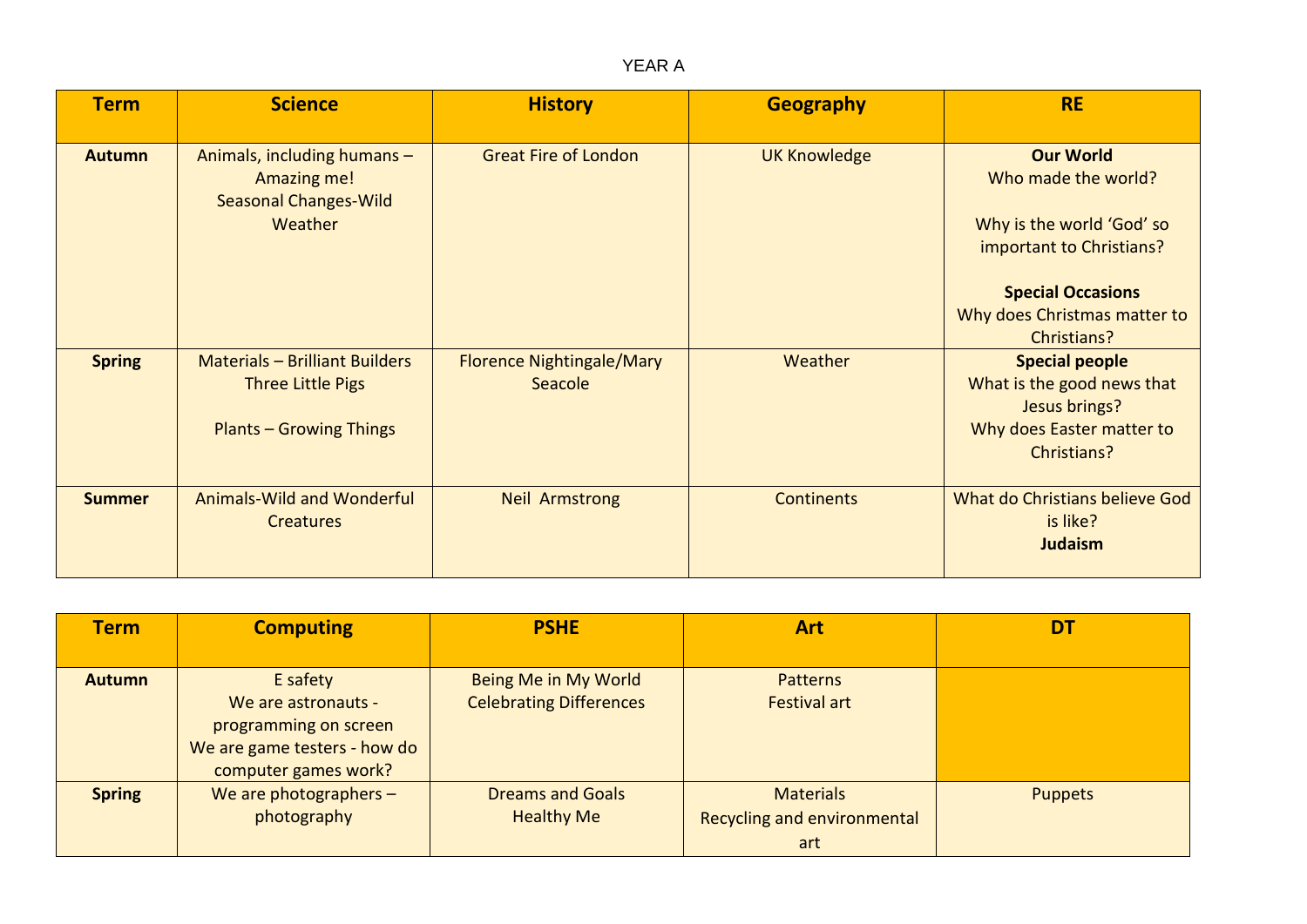YEAR A

| <b>Term</b>   | <b>Science</b>                                                                                      | <b>History</b>                              | <b>Geography</b>    | <b>RE</b>                                                                                                                                                                   |
|---------------|-----------------------------------------------------------------------------------------------------|---------------------------------------------|---------------------|-----------------------------------------------------------------------------------------------------------------------------------------------------------------------------|
| <b>Autumn</b> | Animals, including humans -<br>Amazing me!<br><b>Seasonal Changes-Wild</b><br>Weather               | <b>Great Fire of London</b>                 | <b>UK Knowledge</b> | <b>Our World</b><br>Who made the world?<br>Why is the world 'God' so<br>important to Christians?<br><b>Special Occasions</b><br>Why does Christmas matter to<br>Christians? |
| <b>Spring</b> | <b>Materials - Brilliant Builders</b><br><b>Three Little Pigs</b><br><b>Plants - Growing Things</b> | <b>Florence Nightingale/Mary</b><br>Seacole | Weather             | <b>Special people</b><br>What is the good news that<br>Jesus brings?<br>Why does Easter matter to<br>Christians?                                                            |
| <b>Summer</b> | <b>Animals-Wild and Wonderful</b><br><b>Creatures</b>                                               | <b>Neil Armstrong</b>                       | <b>Continents</b>   | What do Christians believe God<br>is like?<br><b>Judaism</b>                                                                                                                |

| <b>Term</b>   | <b>Computing</b>                                                                                                 | <b>PSHE</b>                                            | <b>Art</b>                                                    | <b>D1</b>      |
|---------------|------------------------------------------------------------------------------------------------------------------|--------------------------------------------------------|---------------------------------------------------------------|----------------|
| <b>Autumn</b> | E safety<br>We are astronauts -<br>programming on screen<br>We are game testers - how do<br>computer games work? | Being Me in My World<br><b>Celebrating Differences</b> | <b>Patterns</b><br><b>Festival art</b>                        |                |
| <b>Spring</b> | We are photographers $-$<br>photography                                                                          | <b>Dreams and Goals</b><br><b>Healthy Me</b>           | <b>Materials</b><br><b>Recycling and environmental</b><br>art | <b>Puppets</b> |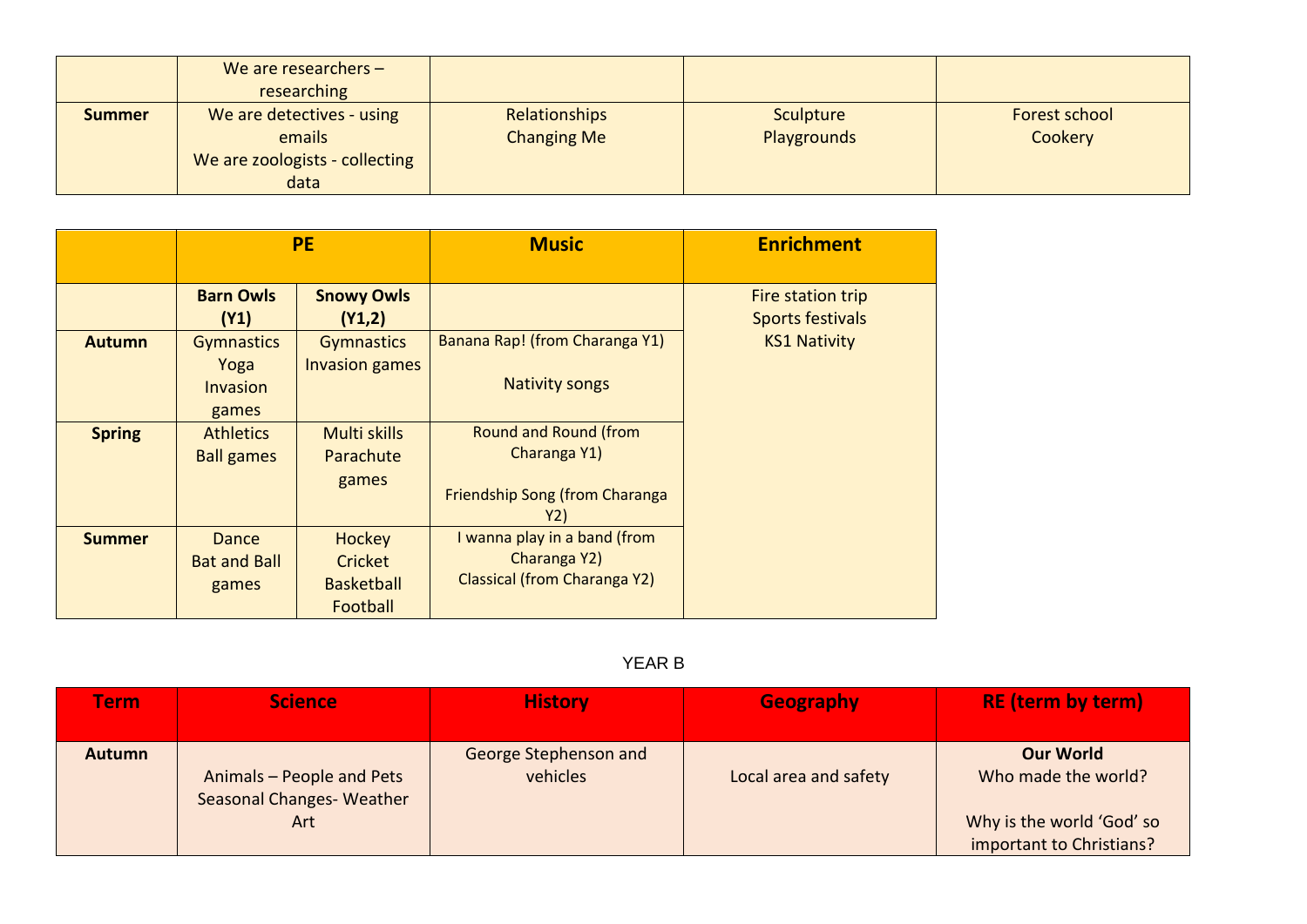|               | We are researchers $-$<br>researching |                    |             |                      |
|---------------|---------------------------------------|--------------------|-------------|----------------------|
|               |                                       |                    |             |                      |
| <b>Summer</b> | We are detectives - using             | Relationships      | Sculpture   | <b>Forest school</b> |
|               | emails                                | <b>Changing Me</b> | Playgrounds | Cookery              |
|               | We are zoologists - collecting        |                    |             |                      |
|               | data                                  |                    |             |                      |

|               | <b>PE</b>                                             |                                                    | <b>Music</b>                                                                                 | <b>Enrichment</b>                            |
|---------------|-------------------------------------------------------|----------------------------------------------------|----------------------------------------------------------------------------------------------|----------------------------------------------|
|               | <b>Barn Owls</b><br>(Y1)                              | <b>Snowy Owls</b><br>(Y1,2)                        |                                                                                              | Fire station trip<br><b>Sports festivals</b> |
| <b>Autumn</b> | <b>Gymnastics</b><br>Yoga<br><b>Invasion</b><br>games | <b>Gymnastics</b><br><b>Invasion games</b>         | Banana Rap! (from Charanga Y1)<br><b>Nativity songs</b>                                      | <b>KS1 Nativity</b>                          |
| <b>Spring</b> | <b>Athletics</b><br><b>Ball games</b>                 | Multi skills<br>Parachute<br>games                 | <b>Round and Round (from</b><br>Charanga Y1)<br><b>Friendship Song (from Charanga</b><br>Y2) |                                              |
| <b>Summer</b> | Dance<br><b>Bat and Ball</b><br>games                 | Hockey<br>Cricket<br><b>Basketball</b><br>Football | I wanna play in a band (from<br>Charanga Y2)<br>Classical (from Charanga Y2)                 |                                              |

### YEAR B

| <u>Ferm</u>   | <b>Science</b>                                               | <b>History</b>                    | <b>Geography</b>      | <b>RE</b> (term by term)                                                                         |
|---------------|--------------------------------------------------------------|-----------------------------------|-----------------------|--------------------------------------------------------------------------------------------------|
| <b>Autumn</b> | Animals - People and Pets<br>Seasonal Changes-Weather<br>Art | George Stephenson and<br>vehicles | Local area and safety | <b>Our World</b><br>Who made the world?<br>Why is the world 'God' so<br>important to Christians? |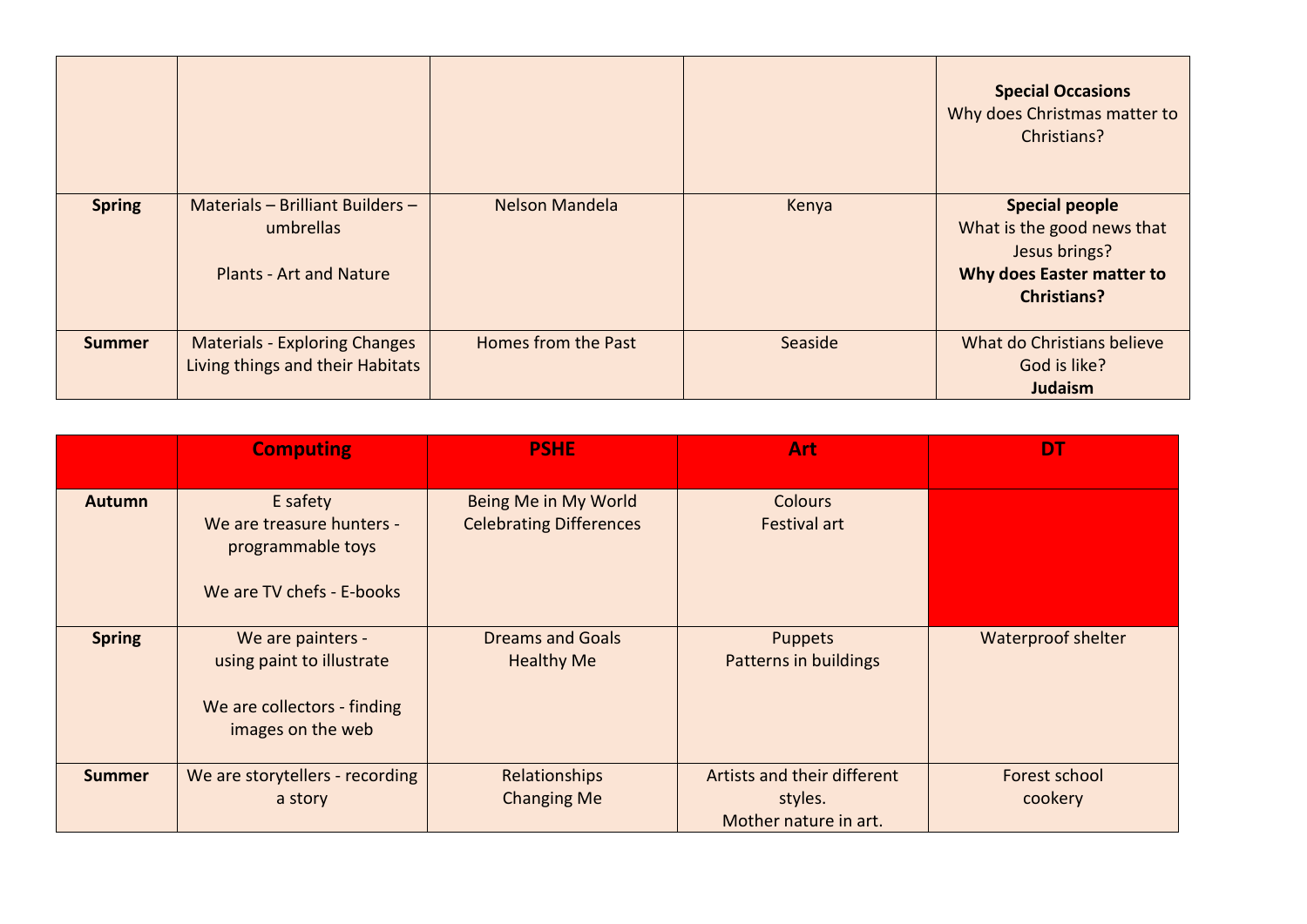|               |                                                                                 |                     |         | <b>Special Occasions</b><br>Why does Christmas matter to<br>Christians?                                                 |
|---------------|---------------------------------------------------------------------------------|---------------------|---------|-------------------------------------------------------------------------------------------------------------------------|
| <b>Spring</b> | Materials - Brilliant Builders -<br>umbrellas<br><b>Plants - Art and Nature</b> | Nelson Mandela      | Kenya   | <b>Special people</b><br>What is the good news that<br>Jesus brings?<br>Why does Easter matter to<br><b>Christians?</b> |
| <b>Summer</b> | <b>Materials - Exploring Changes</b><br>Living things and their Habitats        | Homes from the Past | Seaside | What do Christians believe<br>God is like?<br>Judaism                                                                   |

|               | <b>Computing</b>                                                                                   | <b>PSHE</b>                                            | Art                                                             | DT                       |
|---------------|----------------------------------------------------------------------------------------------------|--------------------------------------------------------|-----------------------------------------------------------------|--------------------------|
| <b>Autumn</b> | E safety<br>We are treasure hunters -<br>programmable toys<br>We are TV chefs - E-books            | Being Me in My World<br><b>Celebrating Differences</b> | <b>Colours</b><br><b>Festival art</b>                           |                          |
| <b>Spring</b> | We are painters -<br>using paint to illustrate<br>We are collectors - finding<br>images on the web | <b>Dreams and Goals</b><br><b>Healthy Me</b>           | <b>Puppets</b><br><b>Patterns in buildings</b>                  | Waterproof shelter       |
| <b>Summer</b> | We are storytellers - recording<br>a story                                                         | Relationships<br><b>Changing Me</b>                    | Artists and their different<br>styles.<br>Mother nature in art. | Forest school<br>cookery |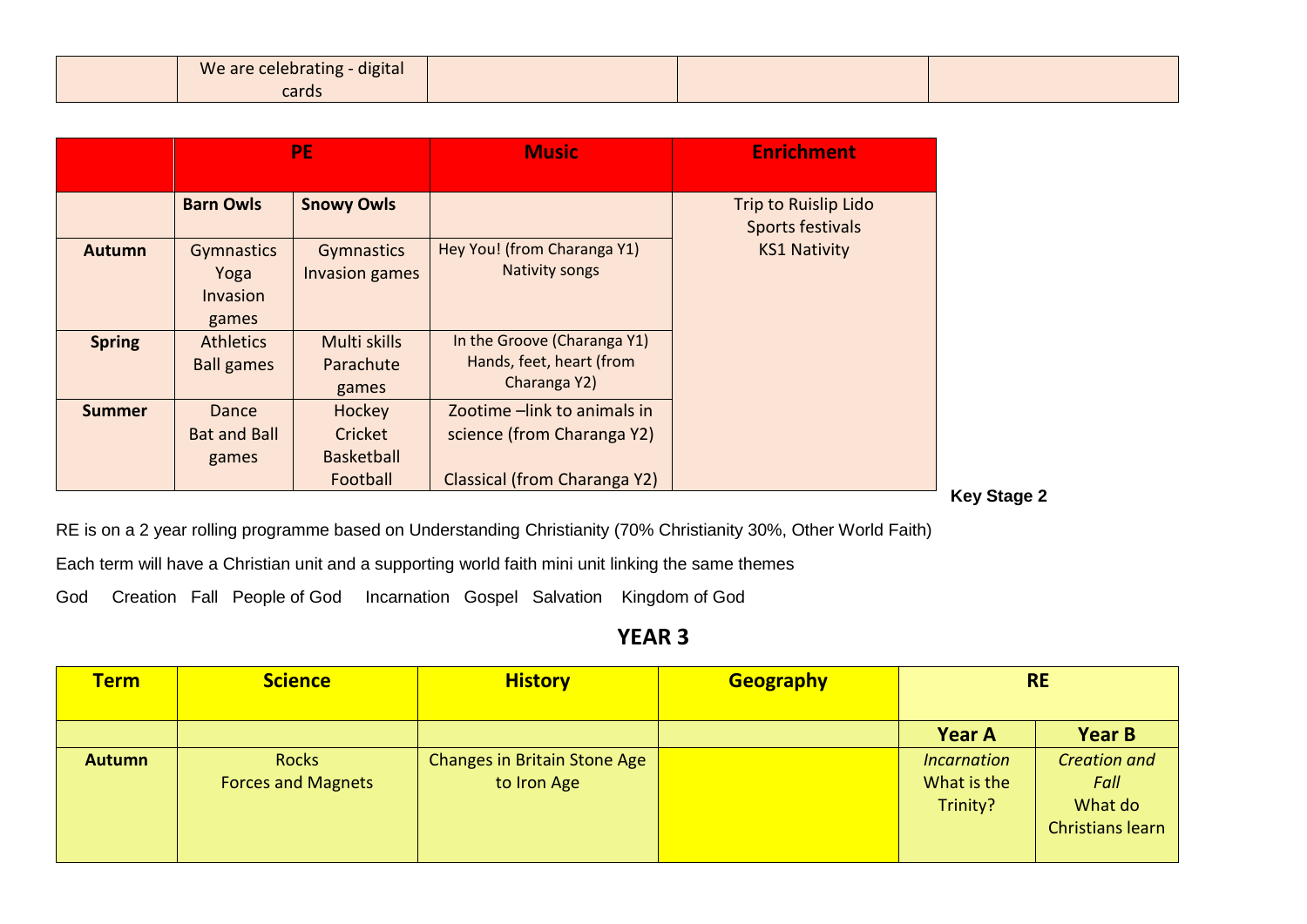| We are celebrating - digital |  |  |
|------------------------------|--|--|
| cards                        |  |  |

|               | <b>PE</b>                                      |                                                    | <b>Music</b>                                                                              |                                          | <b>Enrichment</b> |  |
|---------------|------------------------------------------------|----------------------------------------------------|-------------------------------------------------------------------------------------------|------------------------------------------|-------------------|--|
|               | <b>Barn Owls</b>                               | <b>Snowy Owls</b>                                  |                                                                                           | Trip to Ruislip Lido<br>Sports festivals |                   |  |
| <b>Autumn</b> | <b>Gymnastics</b><br>Yoga<br>Invasion<br>games | Gymnastics<br>Invasion games                       | Hey You! (from Charanga Y1)<br><b>Nativity songs</b>                                      | <b>KS1 Nativity</b>                      |                   |  |
| <b>Spring</b> | <b>Athletics</b><br><b>Ball games</b>          | Multi skills<br>Parachute<br>games                 | In the Groove (Charanga Y1)<br>Hands, feet, heart (from<br>Charanga Y2)                   |                                          |                   |  |
| <b>Summer</b> | Dance<br><b>Bat and Ball</b><br>games          | Hockey<br>Cricket<br><b>Basketball</b><br>Football | Zootime -link to animals in<br>science (from Charanga Y2)<br>Classical (from Charanga Y2) |                                          |                   |  |

**Key Stage 2**

RE is on a 2 year rolling programme based on Understanding Christianity (70% Christianity 30%, Other World Faith)

Each term will have a Christian unit and a supporting world faith mini unit linking the same themes

God Creation Fall People of God Incarnation Gospel Salvation Kingdom of God

| <b>Term</b>   | <b>Science</b>                            | <b>History</b>                              | <b>Geography</b> |                                               | <b>RE</b>                                                         |
|---------------|-------------------------------------------|---------------------------------------------|------------------|-----------------------------------------------|-------------------------------------------------------------------|
|               |                                           |                                             |                  | <b>Year A</b>                                 | <b>Year B</b>                                                     |
| <b>Autumn</b> | <b>Rocks</b><br><b>Forces and Magnets</b> | Changes in Britain Stone Age<br>to Iron Age |                  | <i>Incarnation</i><br>What is the<br>Trinity? | <b>Creation and</b><br>Fall<br>What do<br><b>Christians learn</b> |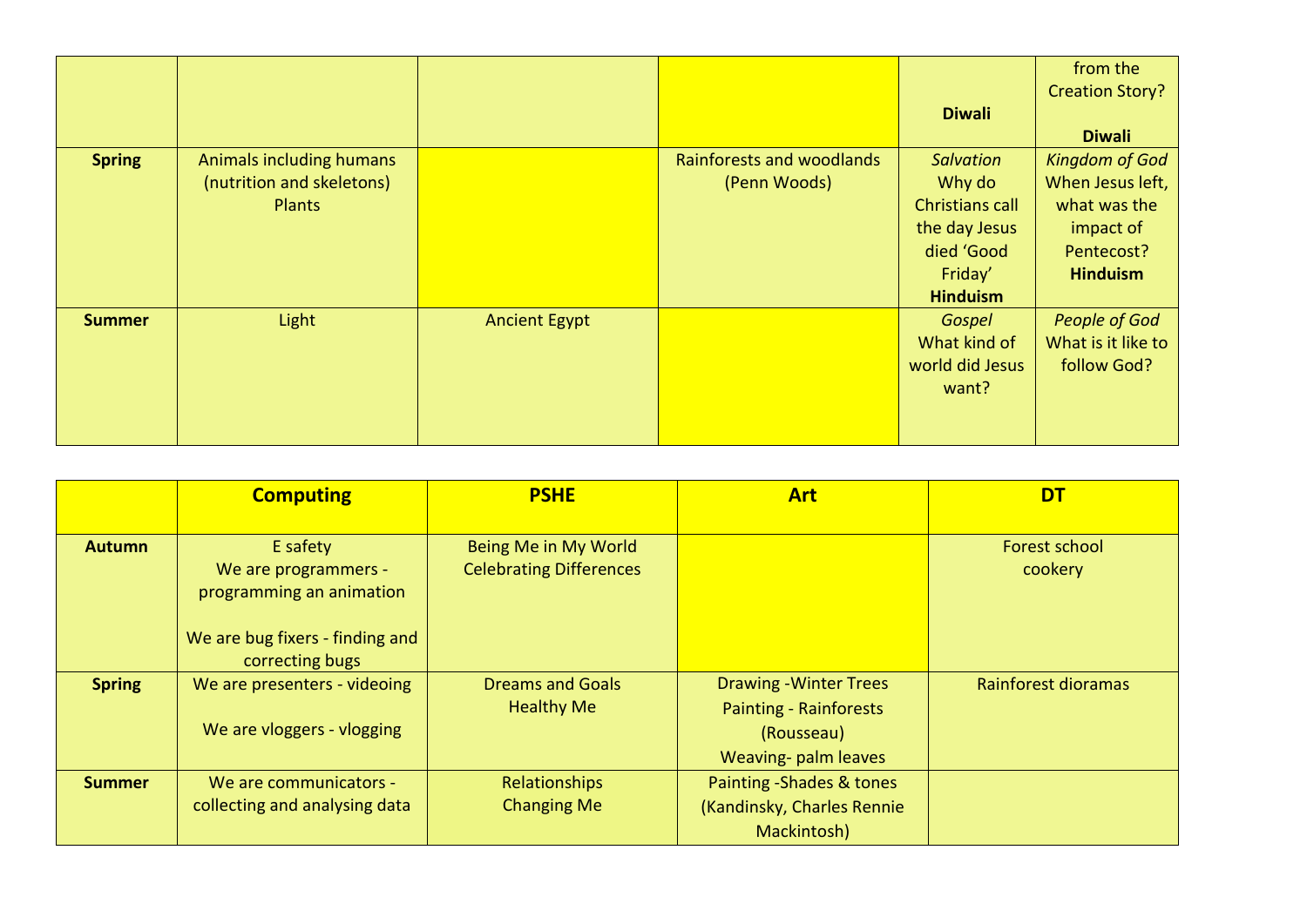|               |                                                                        |                      |                                                  | <b>Diwali</b>                                                                                                     | from the<br><b>Creation Story?</b><br><b>Diwali</b>                                                     |
|---------------|------------------------------------------------------------------------|----------------------|--------------------------------------------------|-------------------------------------------------------------------------------------------------------------------|---------------------------------------------------------------------------------------------------------|
| <b>Spring</b> | Animals including humans<br>(nutrition and skeletons)<br><b>Plants</b> |                      | <b>Rainforests and woodlands</b><br>(Penn Woods) | <b>Salvation</b><br>Why do<br><b>Christians call</b><br>the day Jesus<br>died 'Good<br>Friday'<br><b>Hinduism</b> | <b>Kingdom of God</b><br>When Jesus left,<br>what was the<br>impact of<br>Pentecost?<br><b>Hinduism</b> |
| <b>Summer</b> | Light                                                                  | <b>Ancient Egypt</b> |                                                  | Gospel<br>What kind of<br>world did Jesus<br>want?                                                                | <b>People of God</b><br>What is it like to<br>follow God?                                               |

|               | <b>Computing</b>                                 | <b>PSHE</b>                                            | <b>Art</b>                    | <b>DT</b>                |
|---------------|--------------------------------------------------|--------------------------------------------------------|-------------------------------|--------------------------|
|               |                                                  |                                                        |                               |                          |
| <b>Autumn</b> | E safety                                         | Being Me in My World<br><b>Celebrating Differences</b> |                               | Forest school<br>cookery |
|               | We are programmers -<br>programming an animation |                                                        |                               |                          |
|               |                                                  |                                                        |                               |                          |
|               | We are bug fixers - finding and                  |                                                        |                               |                          |
|               | correcting bugs                                  |                                                        |                               |                          |
| <b>Spring</b> | We are presenters - videoing                     | <b>Dreams and Goals</b>                                | <b>Drawing - Winter Trees</b> | Rainforest dioramas      |
|               |                                                  | <b>Healthy Me</b>                                      | <b>Painting - Rainforests</b> |                          |
|               | We are vloggers - vlogging                       |                                                        | (Rousseau)                    |                          |
|               |                                                  |                                                        | Weaving- palm leaves          |                          |
| <b>Summer</b> | We are communicators -                           | Relationships                                          | Painting - Shades & tones     |                          |
|               | collecting and analysing data                    | <b>Changing Me</b>                                     | (Kandinsky, Charles Rennie    |                          |
|               |                                                  |                                                        | Mackintosh)                   |                          |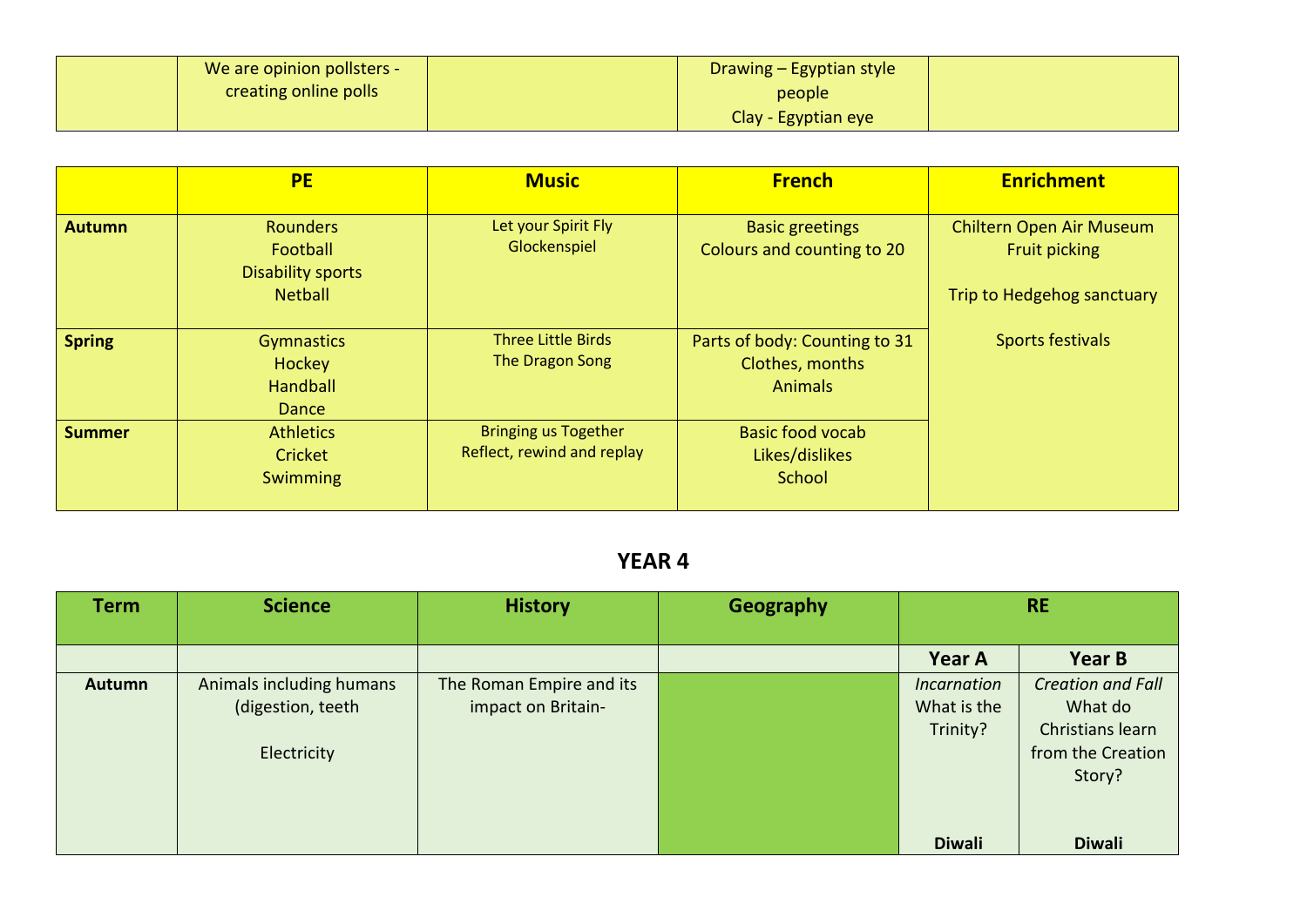| We are opinion pollsters - | Drawing - Egyptian style |  |
|----------------------------|--------------------------|--|
| creating online polls      | people                   |  |
|                            | Clay - Egyptian eye      |  |

|               | <b>PE</b>                                                                 | <b>Music</b>                                              | <b>French</b>                                                      | <b>Enrichment</b>                                                              |
|---------------|---------------------------------------------------------------------------|-----------------------------------------------------------|--------------------------------------------------------------------|--------------------------------------------------------------------------------|
| <b>Autumn</b> | <b>Rounders</b><br>Football<br><b>Disability sports</b><br><b>Netball</b> | Let your Spirit Fly<br>Glockenspiel                       | <b>Basic greetings</b><br>Colours and counting to 20               | Chiltern Open Air Museum<br><b>Fruit picking</b><br>Trip to Hedgehog sanctuary |
| <b>Spring</b> | <b>Gymnastics</b><br>Hockey<br><b>Handball</b><br>Dance                   | <b>Three Little Birds</b><br>The Dragon Song              | Parts of body: Counting to 31<br>Clothes, months<br><b>Animals</b> | Sports festivals                                                               |
| <b>Summer</b> | <b>Athletics</b><br>Cricket<br>Swimming                                   | <b>Bringing us Together</b><br>Reflect, rewind and replay | <b>Basic food vocab</b><br>Likes/dislikes<br>School                |                                                                                |

| <b>Term</b>   | <b>Science</b>                                               | <b>History</b>                                 | Geography |                                               | <b>RE</b>                                                                              |
|---------------|--------------------------------------------------------------|------------------------------------------------|-----------|-----------------------------------------------|----------------------------------------------------------------------------------------|
|               |                                                              |                                                |           | Year A                                        | <b>Year B</b>                                                                          |
| <b>Autumn</b> | Animals including humans<br>(digestion, teeth<br>Electricity | The Roman Empire and its<br>impact on Britain- |           | <b>Incarnation</b><br>What is the<br>Trinity? | <b>Creation and Fall</b><br>What do<br>Christians learn<br>from the Creation<br>Story? |
|               |                                                              |                                                |           | <b>Diwali</b>                                 | <b>Diwali</b>                                                                          |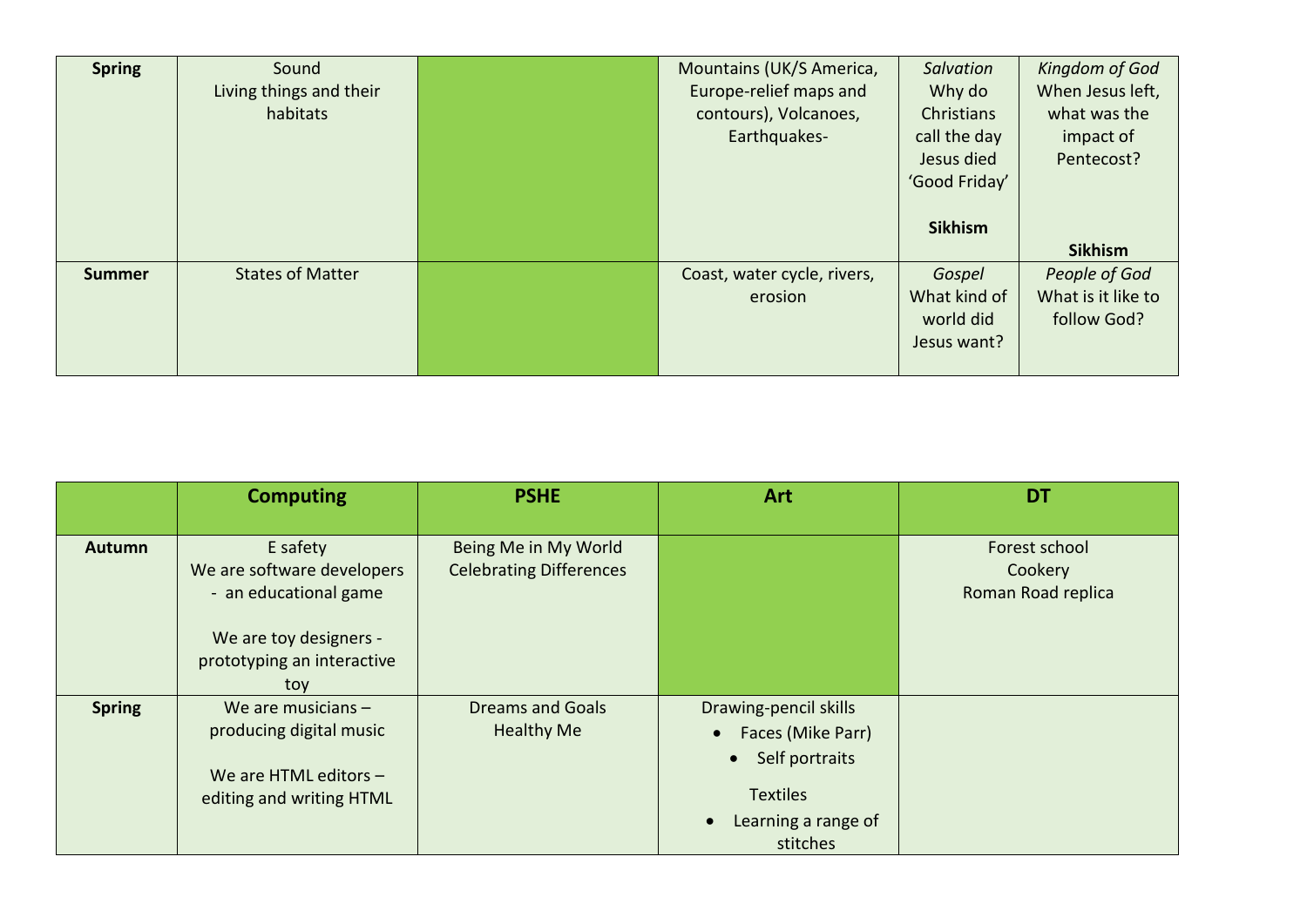| <b>Spring</b> | Sound                   | Mountains (UK/S America,    | Salvation      | Kingdom of God     |
|---------------|-------------------------|-----------------------------|----------------|--------------------|
|               | Living things and their | Europe-relief maps and      | Why do         | When Jesus left,   |
|               | habitats                | contours), Volcanoes,       | Christians     | what was the       |
|               |                         | Earthquakes-                | call the day   | impact of          |
|               |                         |                             | Jesus died     | Pentecost?         |
|               |                         |                             | 'Good Friday'  |                    |
|               |                         |                             |                |                    |
|               |                         |                             | <b>Sikhism</b> |                    |
|               |                         |                             |                | <b>Sikhism</b>     |
| <b>Summer</b> | <b>States of Matter</b> | Coast, water cycle, rivers, | Gospel         | People of God      |
|               |                         | erosion                     | What kind of   | What is it like to |
|               |                         |                             | world did      | follow God?        |
|               |                         |                             | Jesus want?    |                    |
|               |                         |                             |                |                    |

|               | <b>Computing</b>                                                                                                               | <b>PSHE</b>                                            | Art                                                                                                                                          | <b>DT</b>                                      |
|---------------|--------------------------------------------------------------------------------------------------------------------------------|--------------------------------------------------------|----------------------------------------------------------------------------------------------------------------------------------------------|------------------------------------------------|
| <b>Autumn</b> | E safety<br>We are software developers<br>- an educational game<br>We are toy designers -<br>prototyping an interactive<br>toy | Being Me in My World<br><b>Celebrating Differences</b> |                                                                                                                                              | Forest school<br>Cookery<br>Roman Road replica |
| <b>Spring</b> | We are musicians $-$<br>producing digital music<br>We are HTML editors $-$<br>editing and writing HTML                         | <b>Dreams and Goals</b><br><b>Healthy Me</b>           | Drawing-pencil skills<br>Faces (Mike Parr)<br>Self portraits<br>$\bullet$<br><b>Textiles</b><br>Learning a range of<br>$\bullet$<br>stitches |                                                |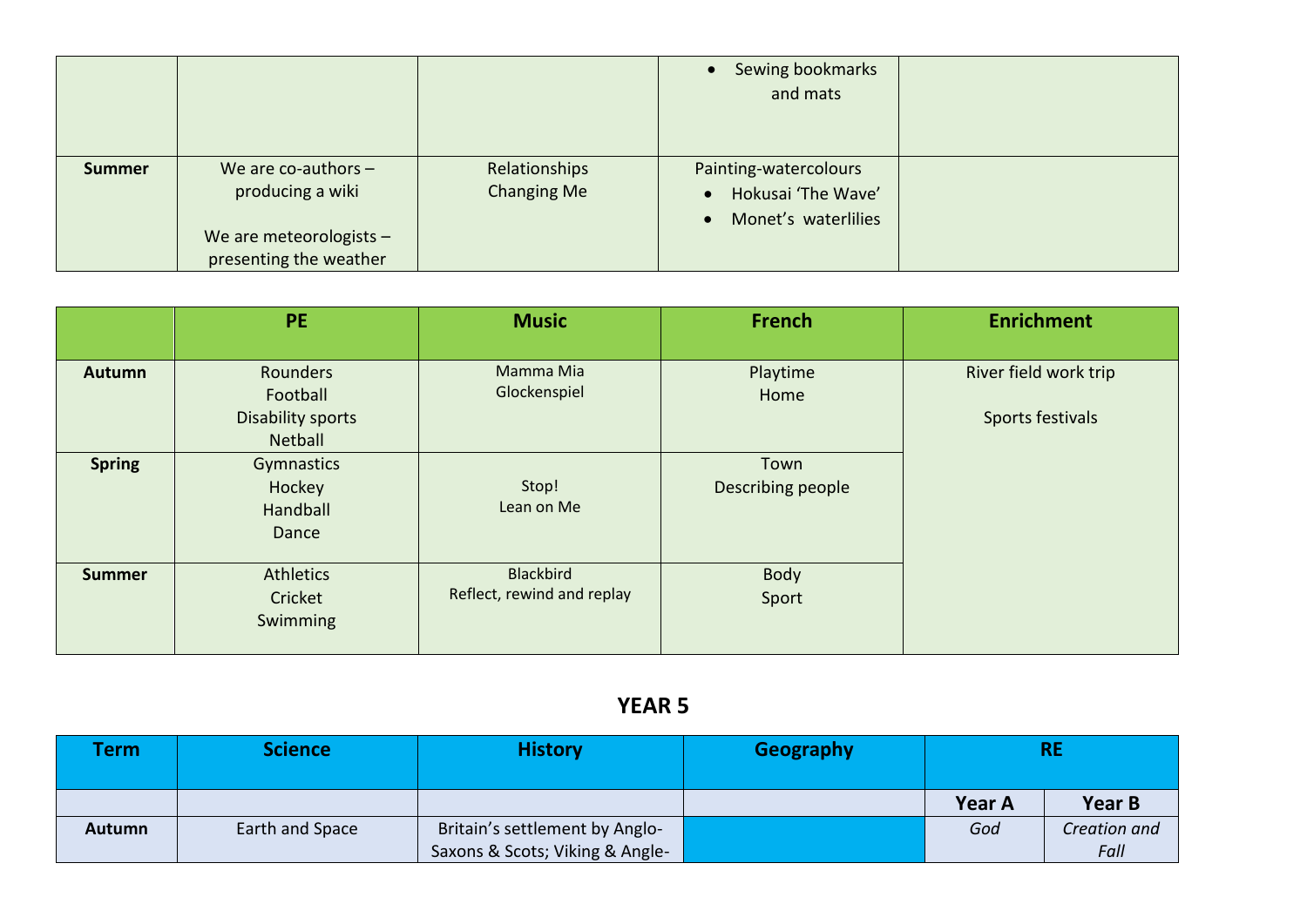|               |                                                                                                  |                                     | Sewing bookmarks<br>and mats                                                                 |  |
|---------------|--------------------------------------------------------------------------------------------------|-------------------------------------|----------------------------------------------------------------------------------------------|--|
| <b>Summer</b> | We are co-authors $-$<br>producing a wiki<br>We are meteorologists $-$<br>presenting the weather | Relationships<br><b>Changing Me</b> | Painting-watercolours<br>Hokusai 'The Wave'<br>$\bullet$<br>Monet's waterlilies<br>$\bullet$ |  |

|               | <b>PE</b>                                                          | <b>Music</b>                            | French                    | <b>Enrichment</b>                         |
|---------------|--------------------------------------------------------------------|-----------------------------------------|---------------------------|-------------------------------------------|
| <b>Autumn</b> | Rounders<br>Football<br><b>Disability sports</b><br><b>Netball</b> | Mamma Mia<br>Glockenspiel               | Playtime<br>Home          | River field work trip<br>Sports festivals |
| <b>Spring</b> | Gymnastics<br>Hockey<br>Handball<br>Dance                          | Stop!<br>Lean on Me                     | Town<br>Describing people |                                           |
| <b>Summer</b> | <b>Athletics</b><br>Cricket<br>Swimming                            | Blackbird<br>Reflect, rewind and replay | Body<br>Sport             |                                           |

| <b>Term</b> | <b>Science</b>  | <b>History</b>                  | Geography |               | <b>RE</b>     |
|-------------|-----------------|---------------------------------|-----------|---------------|---------------|
|             |                 |                                 |           | <b>Year A</b> | <b>Year B</b> |
| Autumn      | Earth and Space | Britain's settlement by Anglo-  |           | God           | Creation and  |
|             |                 | Saxons & Scots; Viking & Angle- |           |               | Fall          |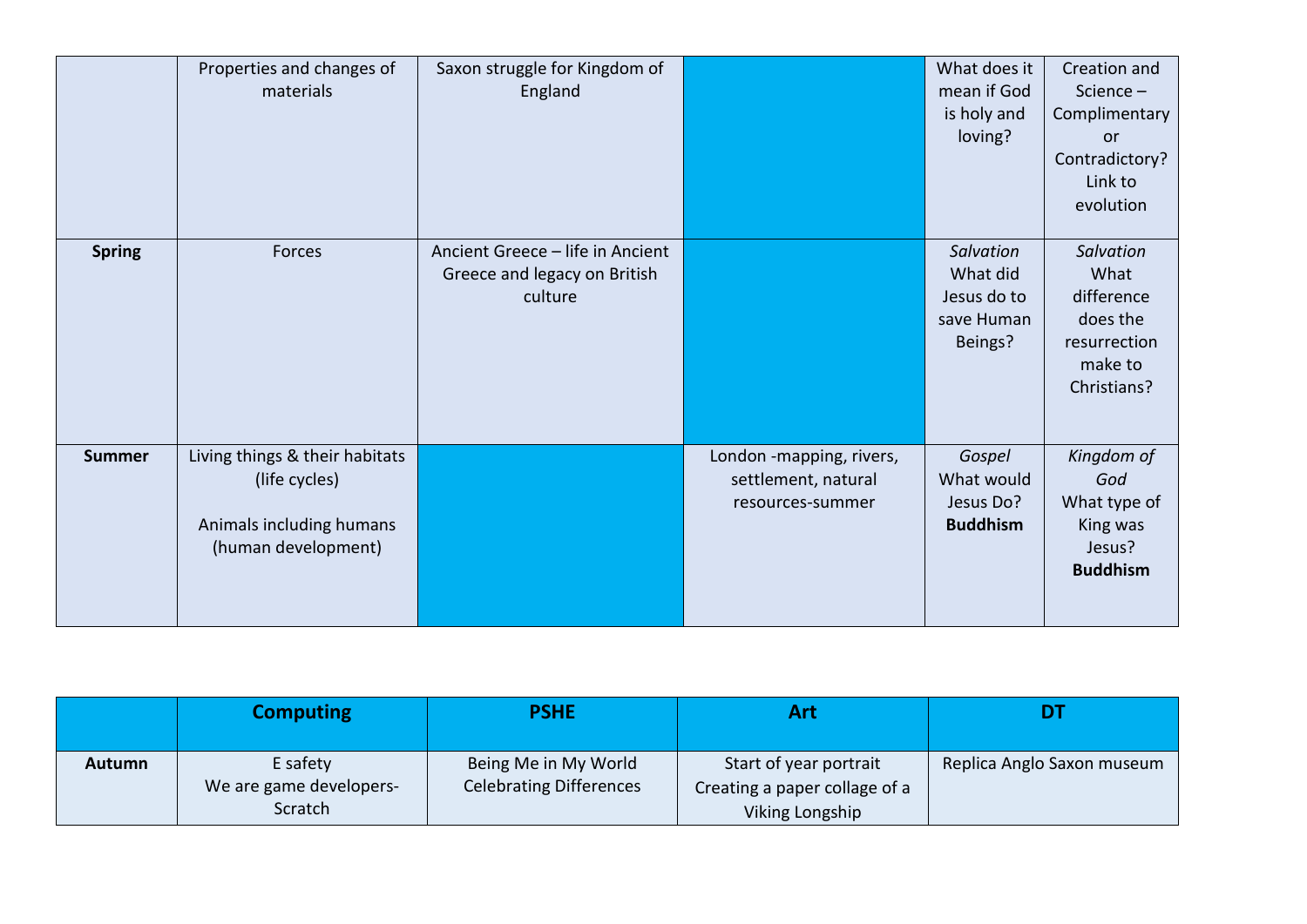|               | Properties and changes of<br>materials                                                             | Saxon struggle for Kingdom of<br>England                                    |                                                                     | What does it<br>mean if God<br>is holy and<br>loving?         | Creation and<br>Science-<br>Complimentary<br><b>or</b><br>Contradictory?<br>Link to<br>evolution |
|---------------|----------------------------------------------------------------------------------------------------|-----------------------------------------------------------------------------|---------------------------------------------------------------------|---------------------------------------------------------------|--------------------------------------------------------------------------------------------------|
| <b>Spring</b> | Forces                                                                                             | Ancient Greece - life in Ancient<br>Greece and legacy on British<br>culture |                                                                     | Salvation<br>What did<br>Jesus do to<br>save Human<br>Beings? | Salvation<br>What<br>difference<br>does the<br>resurrection<br>make to<br>Christians?            |
| <b>Summer</b> | Living things & their habitats<br>(life cycles)<br>Animals including humans<br>(human development) |                                                                             | London -mapping, rivers,<br>settlement, natural<br>resources-summer | Gospel<br>What would<br>Jesus Do?<br><b>Buddhism</b>          | Kingdom of<br>God<br>What type of<br>King was<br>Jesus?<br><b>Buddhism</b>                       |

|               | <b>Computing</b>                    | <b>PSHE</b>                                            | Art                                                     |                            |
|---------------|-------------------------------------|--------------------------------------------------------|---------------------------------------------------------|----------------------------|
| <b>Autumn</b> | E safety<br>We are game developers- | Being Me in My World<br><b>Celebrating Differences</b> | Start of year portrait<br>Creating a paper collage of a | Replica Anglo Saxon museum |
|               | Scratch                             |                                                        | Viking Longship                                         |                            |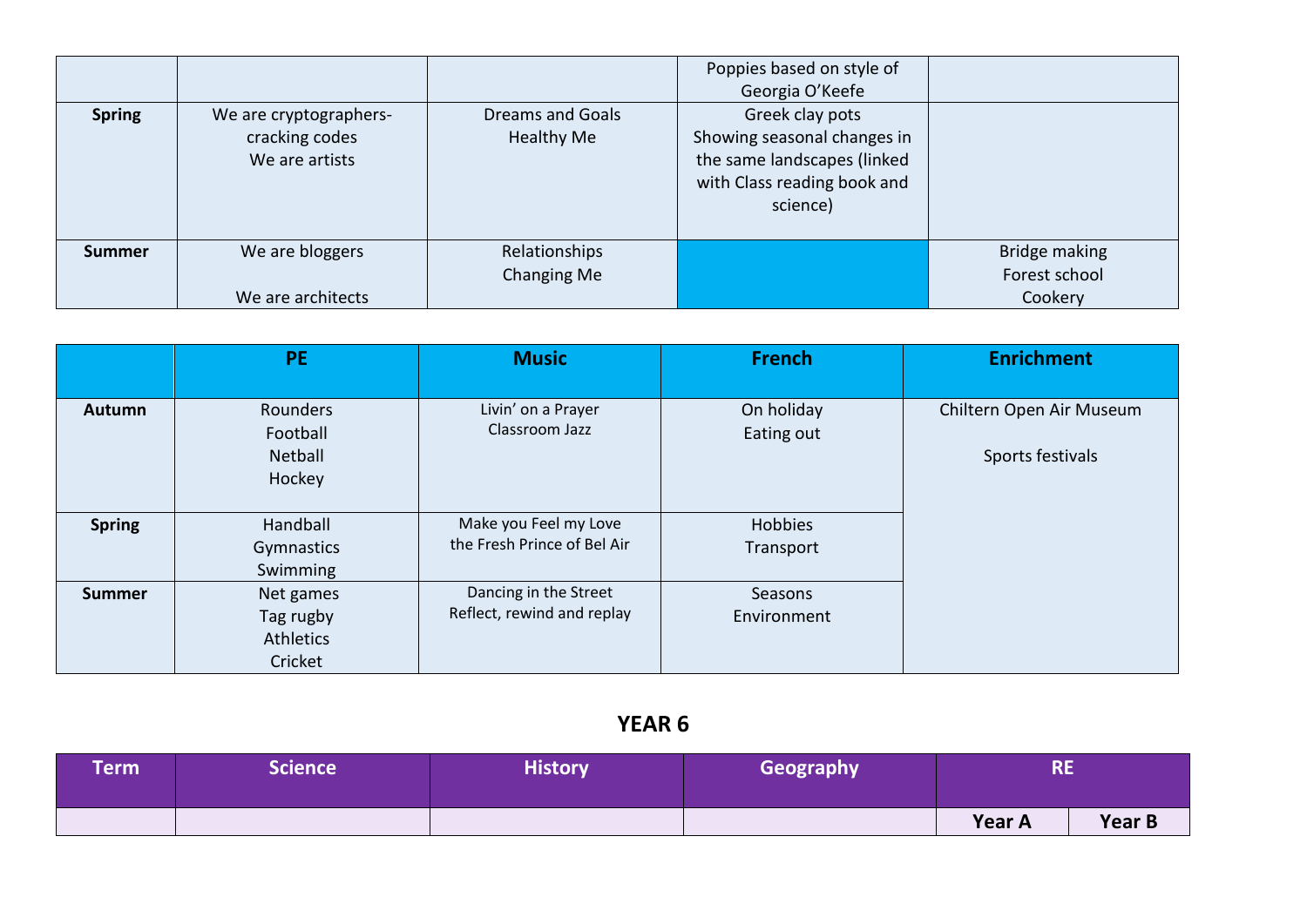| <b>Spring</b> | We are cryptographers-<br>cracking codes<br>We are artists | <b>Dreams and Goals</b><br>Healthy Me | Poppies based on style of<br>Georgia O'Keefe<br>Greek clay pots<br>Showing seasonal changes in<br>the same landscapes (linked<br>with Class reading book and<br>science) |                                           |
|---------------|------------------------------------------------------------|---------------------------------------|--------------------------------------------------------------------------------------------------------------------------------------------------------------------------|-------------------------------------------|
| <b>Summer</b> | We are bloggers<br>We are architects                       | Relationships<br>Changing Me          |                                                                                                                                                                          | Bridge making<br>Forest school<br>Cookery |

|               | <b>PE</b>  | <b>Music</b>                | <b>French</b>  | <b>Enrichment</b>        |
|---------------|------------|-----------------------------|----------------|--------------------------|
|               |            |                             |                |                          |
| Autumn        | Rounders   | Livin' on a Prayer          | On holiday     | Chiltern Open Air Museum |
|               | Football   | Classroom Jazz              | Eating out     |                          |
|               | Netball    |                             |                | Sports festivals         |
|               | Hockey     |                             |                |                          |
|               |            |                             |                |                          |
| <b>Spring</b> | Handball   | Make you Feel my Love       | <b>Hobbies</b> |                          |
|               | Gymnastics | the Fresh Prince of Bel Air | Transport      |                          |
|               | Swimming   |                             |                |                          |
| <b>Summer</b> | Net games  | Dancing in the Street       | Seasons        |                          |
|               | Tag rugby  | Reflect, rewind and replay  | Environment    |                          |
|               | Athletics  |                             |                |                          |
|               | Cricket    |                             |                |                          |

| <b>Term</b> | $\sf Science^{\top}$ | <b>History</b> | Geography | <b>RE</b>     |        |
|-------------|----------------------|----------------|-----------|---------------|--------|
|             |                      |                |           | <b>Year A</b> | Year B |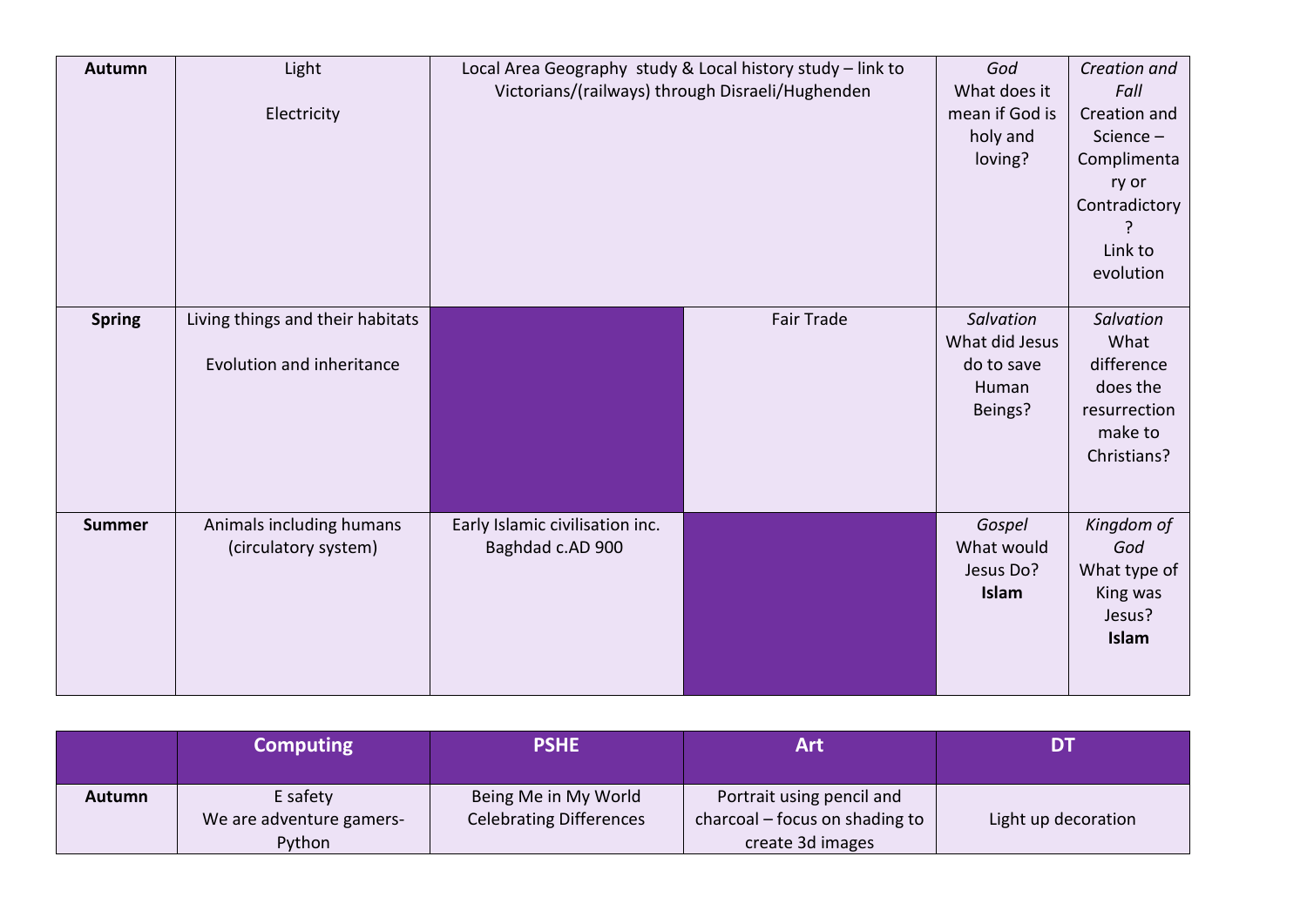| Autumn        | Light<br>Electricity                                          | Local Area Geography study & Local history study - link to<br>Victorians/(railways) through Disraeli/Hughenden |            | God<br>What does it<br>mean if God is<br>holy and<br>loving?  | Creation and<br>Fall<br>Creation and<br>Science-<br>Complimenta<br>ry or<br>Contradictory<br>Link to |
|---------------|---------------------------------------------------------------|----------------------------------------------------------------------------------------------------------------|------------|---------------------------------------------------------------|------------------------------------------------------------------------------------------------------|
| <b>Spring</b> | Living things and their habitats<br>Evolution and inheritance |                                                                                                                | Fair Trade | Salvation<br>What did Jesus<br>do to save<br>Human<br>Beings? | evolution<br>Salvation<br>What<br>difference<br>does the<br>resurrection<br>make to<br>Christians?   |
| <b>Summer</b> | Animals including humans<br>(circulatory system)              | Early Islamic civilisation inc.<br>Baghdad c.AD 900                                                            |            | Gospel<br>What would<br>Jesus Do?<br>Islam                    | Kingdom of<br>God<br>What type of<br>King was<br>Jesus?<br>Islam                                     |

|        | <b>Computing</b>                     | <b>PSHE</b>                                            | Art                                                         | DI                  |
|--------|--------------------------------------|--------------------------------------------------------|-------------------------------------------------------------|---------------------|
| Autumn | E safety<br>We are adventure gamers- | Being Me in My World<br><b>Celebrating Differences</b> | Portrait using pencil and<br>charcoal – focus on shading to | Light up decoration |
|        | Python                               |                                                        | create 3d images                                            |                     |